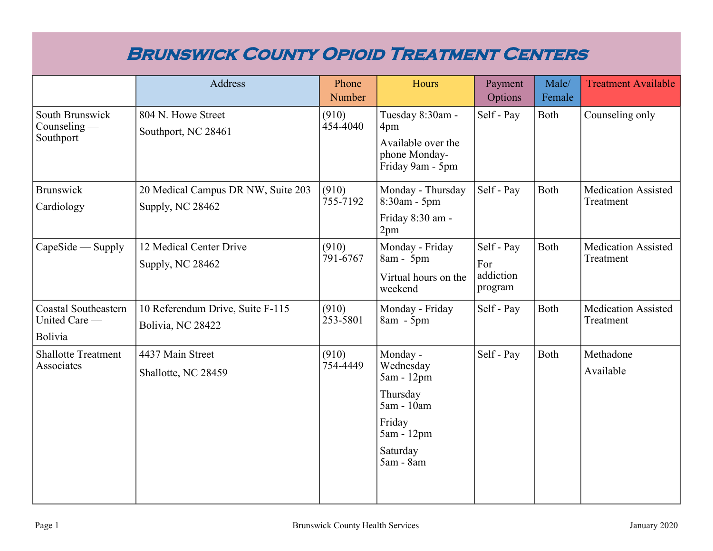### **Brunswick County Opioid Treatment Centers**

|                                                         | Address                                                | Phone<br>Number   | Hours                                                                                                          | Payment<br>Options                        | Male/<br>Female | <b>Treatment Available</b>              |
|---------------------------------------------------------|--------------------------------------------------------|-------------------|----------------------------------------------------------------------------------------------------------------|-------------------------------------------|-----------------|-----------------------------------------|
| South Brunswick<br>Counseling $-$<br>Southport          | 804 N. Howe Street<br>Southport, NC 28461              | (910)<br>454-4040 | Tuesday 8:30am -<br>4pm<br>Available over the<br>phone Monday-<br>Friday 9am - 5pm                             | Self - Pay                                | Both            | Counseling only                         |
| <b>Brunswick</b><br>Cardiology                          | 20 Medical Campus DR NW, Suite 203<br>Supply, NC 28462 | (910)<br>755-7192 | Monday - Thursday<br>8:30am - 5pm<br>Friday 8:30 am -<br>2pm                                                   | Self - Pay                                | <b>Both</b>     | <b>Medication Assisted</b><br>Treatment |
| $CapeSide$ — Supply                                     | 12 Medical Center Drive<br>Supply, NC 28462            | (910)<br>791-6767 | Monday - Friday<br>8am - 5pm<br>Virtual hours on the<br>weekend                                                | Self - Pay<br>For<br>addiction<br>program | Both            | <b>Medication Assisted</b><br>Treatment |
| <b>Coastal Southeastern</b><br>United Care -<br>Bolivia | 10 Referendum Drive, Suite F-115<br>Bolivia, NC 28422  | (910)<br>253-5801 | Monday - Friday<br>8am - 5pm                                                                                   | Self - Pay                                | Both            | <b>Medication Assisted</b><br>Treatment |
| <b>Shallotte Treatment</b><br>Associates                | 4437 Main Street<br>Shallotte, NC 28459                | (910)<br>754-4449 | Monday -<br>Wednesday<br>5am - 12pm<br>Thursday<br>5am - 10am<br>Friday<br>5am - 12pm<br>Saturday<br>5am - 8am | Self - Pay                                | Both            | Methadone<br>Available                  |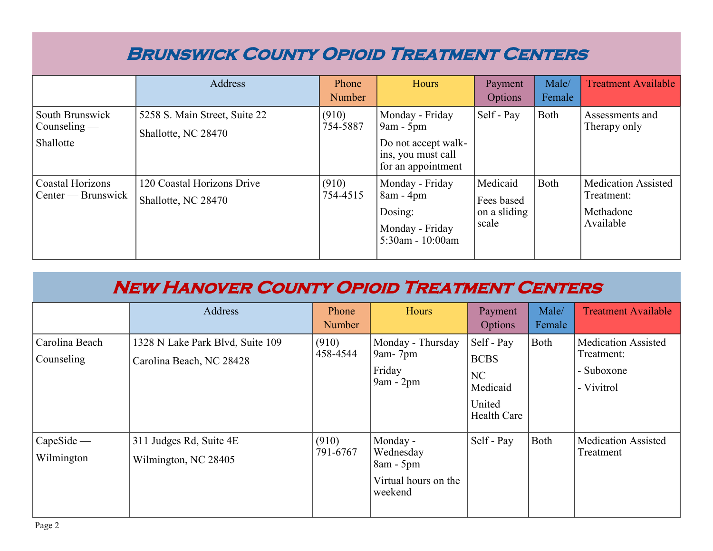### **Brunswick County Opioid Treatment Centers**

|                                                | Address                                              | Phone<br>Number   | Hours                                                                                             | Payment<br>Options                              | Male/<br>Female | <b>Treatment Available</b>                                  |
|------------------------------------------------|------------------------------------------------------|-------------------|---------------------------------------------------------------------------------------------------|-------------------------------------------------|-----------------|-------------------------------------------------------------|
| South Brunswick<br>Counseling $-$<br>Shallotte | 5258 S. Main Street, Suite 22<br>Shallotte, NC 28470 | (910)<br>754-5887 | Monday - Friday<br>$9am - 5pm$<br>Do not accept walk-<br>ins, you must call<br>for an appointment | Self - Pay                                      | Both            | Assessments and<br>Therapy only                             |
| Coastal Horizons<br>Center — Brunswick         | 120 Coastal Horizons Drive<br>Shallotte, NC 28470    | (910)<br>754-4515 | Monday - Friday<br>$8am - 4pm$<br>Dosing:<br>Monday - Friday<br>5:30am - 10:00am                  | Medicaid<br>Fees based<br>on a sliding<br>scale | Both            | Medication Assisted<br>Treatment:<br>Methadone<br>Available |

|                              | Address                                                      | Phone<br>Number   | Hours                                                                   | Payment<br>Options                                                   | Male/<br>Female | <b>Treatment Available</b>                                           |
|------------------------------|--------------------------------------------------------------|-------------------|-------------------------------------------------------------------------|----------------------------------------------------------------------|-----------------|----------------------------------------------------------------------|
| Carolina Beach<br>Counseling | 1328 N Lake Park Blvd, Suite 109<br>Carolina Beach, NC 28428 | (910)<br>458-4544 | Monday - Thursday<br>9am- $7$ pm<br>Friday<br>$9am - 2pm$               | Self - Pay<br><b>BCBS</b><br>NC<br>Medicaid<br>United<br>Health Care | Both            | <b>Medication Assisted</b><br>Treatment:<br>- Suboxone<br>- Vivitrol |
| CapeSide<br>Wilmington       | 311 Judges Rd, Suite 4E<br>Wilmington, NC 28405              | (910)<br>791-6767 | Monday -<br>Wednesday<br>$8am - 5pm$<br>Virtual hours on the<br>weekend | Self - Pay                                                           | Both            | <b>Medication Assisted</b><br>Treatment                              |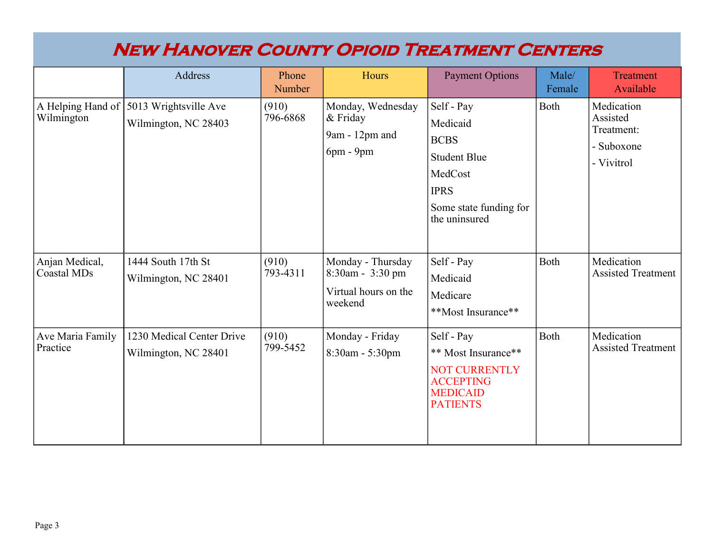|                                      | Address                                           | Phone<br>Number   | Hours                                                                    | <b>Payment Options</b>                                                                                                            | Male/<br>Female | <b>Treatment</b><br>Available                                    |
|--------------------------------------|---------------------------------------------------|-------------------|--------------------------------------------------------------------------|-----------------------------------------------------------------------------------------------------------------------------------|-----------------|------------------------------------------------------------------|
| A Helping Hand of<br>Wilmington      | 5013 Wrightsville Ave<br>Wilmington, NC 28403     | (910)<br>796-6868 | Monday, Wednesday<br>& Friday<br>9am - 12pm and<br>$6pm - 9pm$           | Self - Pay<br>Medicaid<br><b>BCBS</b><br><b>Student Blue</b><br>MedCost<br><b>IPRS</b><br>Some state funding for<br>the uninsured | Both            | Medication<br>Assisted<br>Treatment:<br>- Suboxone<br>- Vivitrol |
| Anjan Medical,<br><b>Coastal MDs</b> | 1444 South 17th St<br>Wilmington, NC 28401        | (910)<br>793-4311 | Monday - Thursday<br>8:30am - 3:30 pm<br>Virtual hours on the<br>weekend | Self - Pay<br>Medicaid<br>Medicare<br>**Most Insurance**                                                                          | Both            | Medication<br><b>Assisted Treatment</b>                          |
| Ave Maria Family<br>Practice         | 1230 Medical Center Drive<br>Wilmington, NC 28401 | (910)<br>799-5452 | Monday - Friday<br>8:30am - 5:30pm                                       | Self - Pay<br>** Most Insurance**<br><b>NOT CURRENTLY</b><br><b>ACCEPTING</b><br><b>MEDICAID</b><br><b>PATIENTS</b>               | Both            | Medication<br><b>Assisted Treatment</b>                          |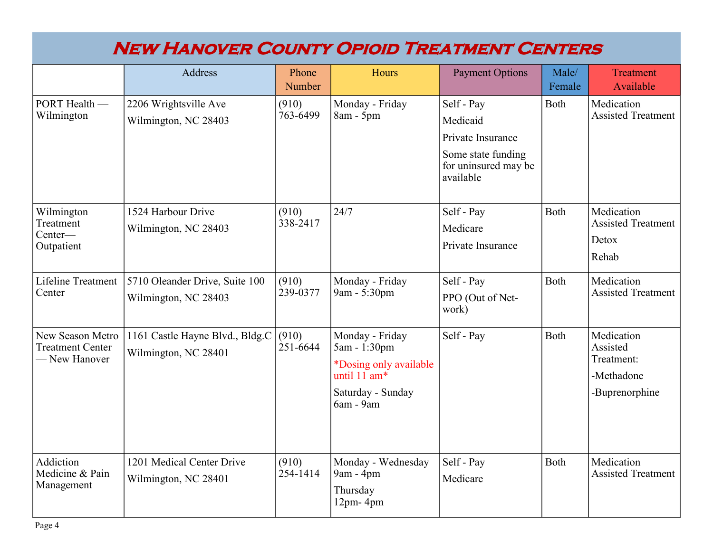|                                                              | Address                                                 | Phone<br>Number   | Hours                                                                                                       | <b>Payment Options</b>                                                                                 | Male/<br>Female | <b>Treatment</b><br>Available                                        |
|--------------------------------------------------------------|---------------------------------------------------------|-------------------|-------------------------------------------------------------------------------------------------------------|--------------------------------------------------------------------------------------------------------|-----------------|----------------------------------------------------------------------|
| $\overline{\rm$ PORT Health —<br>Wilmington                  | 2206 Wrightsville Ave<br>Wilmington, NC 28403           | (910)<br>763-6499 | Monday - Friday<br>8am - 5pm                                                                                | Self - Pay<br>Medicaid<br>Private Insurance<br>Some state funding<br>for uninsured may be<br>available | Both            | Medication<br><b>Assisted Treatment</b>                              |
| Wilmington<br>Treatment<br>Center-<br>Outpatient             | 1524 Harbour Drive<br>Wilmington, NC 28403              | (910)<br>338-2417 | 24/7                                                                                                        | Self - Pay<br>Medicare<br>Private Insurance                                                            | Both            | Medication<br><b>Assisted Treatment</b><br>Detox<br>Rehab            |
| Lifeline Treatment<br>Center                                 | 5710 Oleander Drive, Suite 100<br>Wilmington, NC 28403  | (910)<br>239-0377 | Monday - Friday<br>9am - 5:30pm                                                                             | Self - Pay<br>PPO (Out of Net-<br>work)                                                                | <b>Both</b>     | Medication<br><b>Assisted Treatment</b>                              |
| New Season Metro<br><b>Treatment Center</b><br>- New Hanover | 1161 Castle Hayne Blvd., Bldg.C<br>Wilmington, NC 28401 | (910)<br>251-6644 | Monday - Friday<br>5am - 1:30pm<br>*Dosing only available<br>until 11 am*<br>Saturday - Sunday<br>6am - 9am | Self - Pay                                                                                             | Both            | Medication<br>Assisted<br>Treatment:<br>-Methadone<br>-Buprenorphine |
| Addiction<br>Medicine & Pain<br>Management                   | 1201 Medical Center Drive<br>Wilmington, NC 28401       | (910)<br>254-1414 | Monday - Wednesday<br>9am - 4pm<br>Thursday<br>$12pm - 4pm$                                                 | Self - Pay<br>Medicare                                                                                 | <b>Both</b>     | Medication<br><b>Assisted Treatment</b>                              |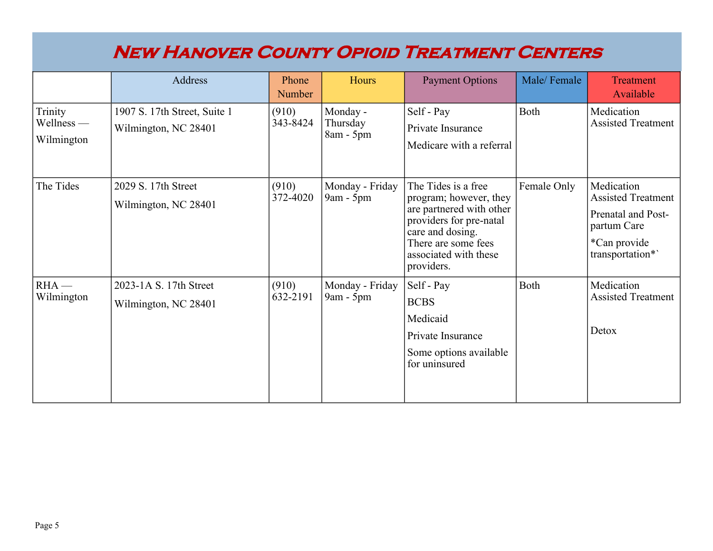|                                     | Address                                              | Phone<br>Number   | Hours                               | <b>Payment Options</b>                                                                                                                                                                 | Male/Female | <b>Treatment</b><br>Available                                                                                    |
|-------------------------------------|------------------------------------------------------|-------------------|-------------------------------------|----------------------------------------------------------------------------------------------------------------------------------------------------------------------------------------|-------------|------------------------------------------------------------------------------------------------------------------|
| Trinity<br>Wellness —<br>Wilmington | 1907 S. 17th Street, Suite 1<br>Wilmington, NC 28401 | (910)<br>343-8424 | Monday -<br>Thursday<br>$8am - 5pm$ | Self - Pay<br>Private Insurance<br>Medicare with a referral                                                                                                                            | Both        | Medication<br><b>Assisted Treatment</b>                                                                          |
| The Tides                           | 2029 S. 17th Street<br>Wilmington, NC 28401          | (910)<br>372-4020 | Monday - Friday<br>$9am - 5pm$      | The Tides is a free<br>program; however, they<br>are partnered with other<br>providers for pre-natal<br>care and dosing.<br>There are some fees<br>associated with these<br>providers. | Female Only | Medication<br><b>Assisted Treatment</b><br>Prenatal and Post-<br>partum Care<br>*Can provide<br>transportation*` |
| $RHA$ —<br>Wilmington               | 2023-1A S. 17th Street<br>Wilmington, NC 28401       | (910)<br>632-2191 | Monday - Friday<br>$9am - 5pm$      | Self - Pay<br><b>BCBS</b><br>Medicaid<br>Private Insurance<br>Some options available<br>for uninsured                                                                                  | Both        | Medication<br><b>Assisted Treatment</b><br>Detox                                                                 |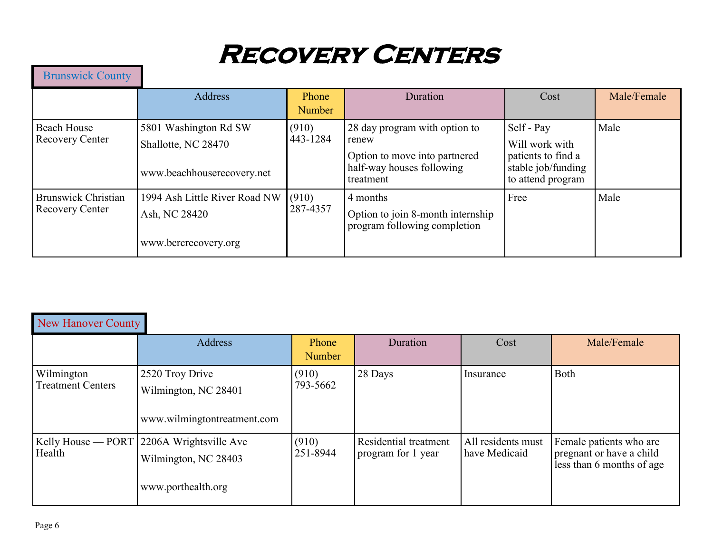# **RECOVERY CENTERS**

| <b>Brunswick County</b>                              |                                                                            |                        |                                                                                                                   |                                                                                               |             |
|------------------------------------------------------|----------------------------------------------------------------------------|------------------------|-------------------------------------------------------------------------------------------------------------------|-----------------------------------------------------------------------------------------------|-------------|
|                                                      | <b>Address</b>                                                             | Phone<br><b>Number</b> | Duration                                                                                                          | Cost                                                                                          | Male/Female |
| <b>Beach House</b><br><b>Recovery Center</b>         | 5801 Washington Rd SW<br>Shallotte, NC 28470<br>www.beachhouserecovery.net | (910)<br>443-1284      | 28 day program with option to<br>renew<br>Option to move into partnered<br>half-way houses following<br>treatment | Self - Pay<br>Will work with<br>patients to find a<br>stable job/funding<br>to attend program | Male        |
| <b>Brunswick Christian</b><br><b>Recovery Center</b> | 1994 Ash Little River Road NW<br>Ash, NC 28420<br>www.bcrcrecovery.org     | (910)<br>287-4357      | 4 months<br>Option to join 8-month internship<br>program following completion                                     | Free                                                                                          | Male        |

| <b>New Hanover County</b>              |                                                                                           |                   |                                             |                                     |                                                                                  |
|----------------------------------------|-------------------------------------------------------------------------------------------|-------------------|---------------------------------------------|-------------------------------------|----------------------------------------------------------------------------------|
|                                        | Address                                                                                   | Phone<br>Number   | Duration                                    | Cost                                | Male/Female                                                                      |
| Wilmington<br><b>Treatment Centers</b> | 2520 Troy Drive<br>Wilmington, NC 28401<br>www.wilmingtontreatment.com                    | (910)<br>793-5662 | 28 Days                                     | Insurance                           | Both                                                                             |
| Health                                 | $Kelly$ House — PORT 2206A Wrightsville Ave<br>Wilmington, NC 28403<br>www.porthealth.org | (910)<br>251-8944 | Residential treatment<br>program for 1 year | All residents must<br>have Medicaid | Female patients who are<br>pregnant or have a child<br>less than 6 months of age |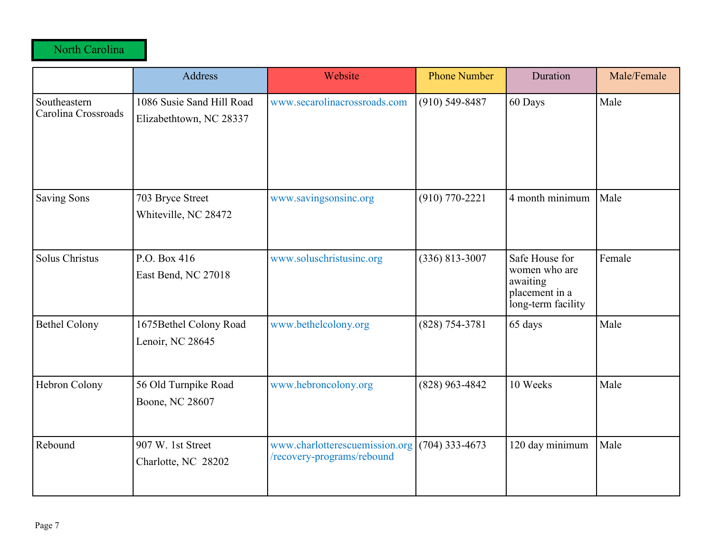North Carolina

|                                     | <b>Address</b>                                       | Website                                                      | <b>Phone Number</b> | Duration                                                                            | Male/Female |
|-------------------------------------|------------------------------------------------------|--------------------------------------------------------------|---------------------|-------------------------------------------------------------------------------------|-------------|
| Southeastern<br>Carolina Crossroads | 1086 Susie Sand Hill Road<br>Elizabethtown, NC 28337 | www.secarolinacrossroads.com                                 | $(910)$ 549-8487    | 60 Days                                                                             | Male        |
| <b>Saving Sons</b>                  | 703 Bryce Street<br>Whiteville, NC 28472             | www.savingsonsinc.org                                        | $(910) 770 - 2221$  | 4 month minimum                                                                     | Male        |
| <b>Solus Christus</b>               | P.O. Box 416<br>East Bend, NC 27018                  | www.soluschristusinc.org                                     | $(336) 813 - 3007$  | Safe House for<br>women who are<br>awaiting<br>placement in a<br>long-term facility | Female      |
| <b>Bethel Colony</b>                | 1675Bethel Colony Road<br>Lenoir, NC 28645           | www.bethelcolony.org                                         | $(828) 754 - 3781$  | 65 days                                                                             | Male        |
| Hebron Colony                       | 56 Old Turnpike Road<br>Boone, NC 28607              | www.hebroncolony.org                                         | $(828)$ 963-4842    | 10 Weeks                                                                            | Male        |
| Rebound                             | 907 W. 1st Street<br>Charlotte, NC 28202             | www.charlotterescuemission.org<br>/recovery-programs/rebound | $(704)$ 333-4673    | 120 day minimum                                                                     | Male        |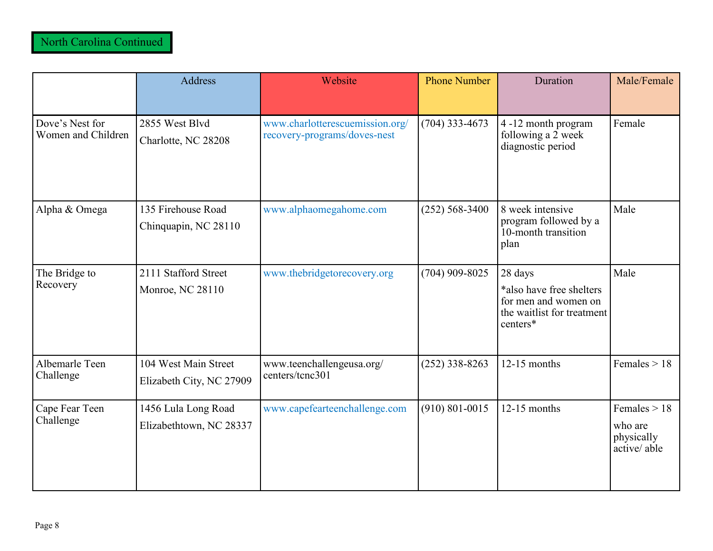|                                       | <b>Address</b>                                   | Website                                                         | <b>Phone Number</b> | Duration                                                                                              | Male/Female                                            |
|---------------------------------------|--------------------------------------------------|-----------------------------------------------------------------|---------------------|-------------------------------------------------------------------------------------------------------|--------------------------------------------------------|
| Dove's Nest for<br>Women and Children | 2855 West Blvd<br>Charlotte, NC 28208            | www.charlotterescuemission.org/<br>recovery-programs/doves-nest | $(704)$ 333-4673    | 4 -12 month program<br>following a 2 week<br>diagnostic period                                        | Female                                                 |
| Alpha & Omega                         | 135 Firehouse Road<br>Chinquapin, NC 28110       | www.alphaomegahome.com                                          | $(252) 568 - 3400$  | 8 week intensive<br>program followed by a<br>10-month transition<br>plan                              | Male                                                   |
| The Bridge to<br>Recovery             | 2111 Stafford Street<br>Monroe, NC 28110         | www.thebridgetorecovery.org                                     | $(704)$ 909-8025    | 28 days<br>*also have free shelters<br>for men and women on<br>the waitlist for treatment<br>centers* | Male                                                   |
| Albemarle Teen<br>Challenge           | 104 West Main Street<br>Elizabeth City, NC 27909 | www.teenchallengeusa.org/<br>centers/tcnc301                    | $(252)$ 338-8263    | $12-15$ months                                                                                        | Females $> 18$                                         |
| Cape Fear Teen<br>Challenge           | 1456 Lula Long Road<br>Elizabethtown, NC 28337   | www.capefearteenchallenge.com                                   | $(910) 801 - 0015$  | $12-15$ months                                                                                        | Females $> 18$<br>who are<br>physically<br>active/able |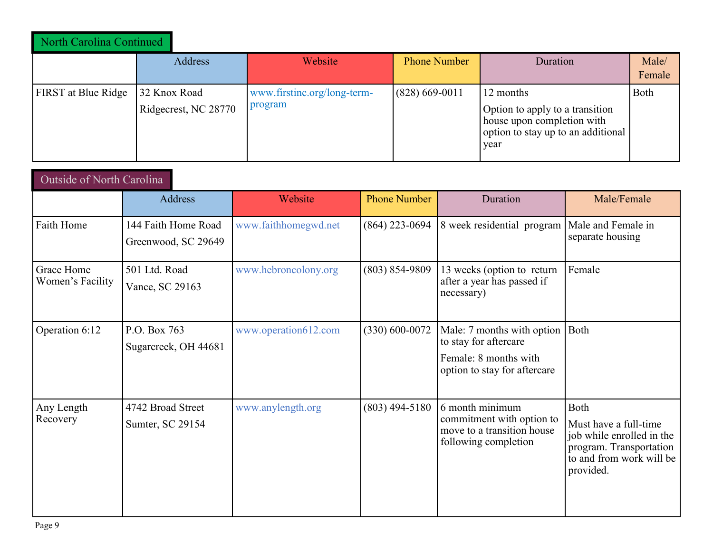| North Carolina Continued   |                                      |                                        |                     |                                                                                                                          |                 |
|----------------------------|--------------------------------------|----------------------------------------|---------------------|--------------------------------------------------------------------------------------------------------------------------|-----------------|
|                            | Address                              | Website                                | <b>Phone Number</b> | Duration                                                                                                                 | Male/<br>Female |
| <b>FIRST</b> at Blue Ridge | 32 Knox Road<br>Ridgecrest, NC 28770 | www.firstinc.org/long-term-<br>program | $(828)$ 669-0011    | 12 months<br>Option to apply to a transition<br>house upon completion with<br>option to stay up to an additional<br>vear | Both            |

| Outside of North Carolina      |                                            |                      |                     |                                                                                                              |                                                                                                                                |
|--------------------------------|--------------------------------------------|----------------------|---------------------|--------------------------------------------------------------------------------------------------------------|--------------------------------------------------------------------------------------------------------------------------------|
|                                | Address                                    | Website              | <b>Phone Number</b> | Duration                                                                                                     | Male/Female                                                                                                                    |
| Faith Home                     | 144 Faith Home Road<br>Greenwood, SC 29649 | www.faithhomegwd.net | $(864)$ 223-0694    | 8 week residential program                                                                                   | Male and Female in<br>separate housing                                                                                         |
| Grace Home<br>Women's Facility | 501 Ltd. Road<br>Vance, SC 29163           | www.hebroncolony.org | $(803) 854 - 9809$  | 13 weeks (option to return<br>after a year has passed if<br>necessary)                                       | Female                                                                                                                         |
| Operation 6:12                 | P.O. Box 763<br>Sugarcreek, OH 44681       | www.operation612.com | $(330) 600 - 0072$  | Male: 7 months with option<br>to stay for aftercare<br>Female: 8 months with<br>option to stay for aftercare | <b>Both</b>                                                                                                                    |
| Any Length<br>Recovery         | 4742 Broad Street<br>Sumter, SC 29154      | www.anylength.org    | $(803)$ 494-5180    | 6 month minimum<br>commitment with option to<br>move to a transition house<br>following completion           | Both<br>Must have a full-time<br>job while enrolled in the<br>program. Transportation<br>to and from work will be<br>provided. |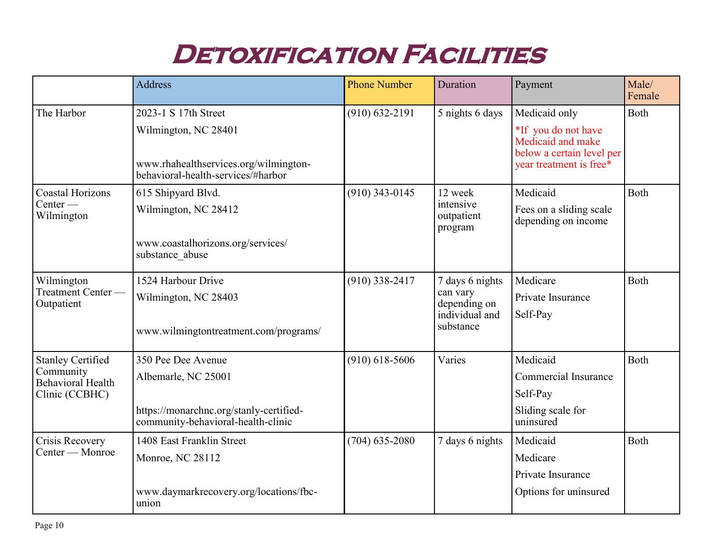# **DETOXIFICATION FACILITIES**

|                                                                              | Address                                                                                             | <b>Phone Number</b> | Duration                                   | Payment                                                                                          | Male/<br>Female |
|------------------------------------------------------------------------------|-----------------------------------------------------------------------------------------------------|---------------------|--------------------------------------------|--------------------------------------------------------------------------------------------------|-----------------|
| The Harbor                                                                   | 2023-1 S 17th Street                                                                                | $(910) 632 - 2191$  | 5 nights 6 days                            | Medicaid only                                                                                    | Both            |
|                                                                              | Wilmington, NC 28401<br>www.rhahealthservices.org/wilmington-<br>behavioral-health-services/#harbor |                     |                                            | *If you do not have<br>Medicaid and make<br>below a certain level per<br>year treatment is free* |                 |
| <b>Coastal Horizons</b><br>Center —<br>Wilmington                            | 615 Shipyard Blvd.                                                                                  | $(910)$ 343-0145    | 12 week                                    | Medicaid                                                                                         | <b>Both</b>     |
|                                                                              | Wilmington, NC 28412                                                                                |                     | intensive<br>outpatient<br>program         | Fees on a sliding scale<br>depending on income                                                   |                 |
|                                                                              | www.coastalhorizons.org/services/<br>substance_abuse                                                |                     |                                            |                                                                                                  |                 |
| Wilmington<br>Treatment Center -<br>Outpatient                               | 1524 Harbour Drive                                                                                  | $(910)$ 338-2417    | 7 days 6 nights                            | Medicare                                                                                         | Both            |
|                                                                              | Wilmington, NC 28403                                                                                |                     | can vary<br>depending on<br>individual and | Private Insurance<br>Self-Pay                                                                    |                 |
|                                                                              | www.wilmingtontreatment.com/programs/                                                               |                     | substance                                  |                                                                                                  |                 |
| <b>Stanley Certified</b><br>Community<br>Behavioral Health<br>Clinic (CCBHC) | 350 Pee Dee Avenue                                                                                  | $(910)$ 618-5606    | Varies                                     | Medicaid                                                                                         | Both            |
|                                                                              | Albemarle, NC 25001                                                                                 |                     |                                            | <b>Commercial Insurance</b>                                                                      |                 |
|                                                                              |                                                                                                     |                     |                                            | Self-Pay                                                                                         |                 |
|                                                                              | https://monarchnc.org/stanly-certified-<br>community-behavioral-health-clinic                       |                     |                                            | Sliding scale for<br>uninsured                                                                   |                 |
| Crisis Recovery<br>Center — Monroe                                           | 1408 East Franklin Street                                                                           | $(704)$ 635-2080    | 7 days 6 nights                            | Medicaid                                                                                         | <b>Both</b>     |
|                                                                              | Monroe, NC 28112                                                                                    |                     |                                            | Medicare                                                                                         |                 |
|                                                                              |                                                                                                     |                     |                                            | Private Insurance                                                                                |                 |
|                                                                              | www.daymarkrecovery.org/locations/fbc-<br>union                                                     |                     |                                            | Options for uninsured                                                                            |                 |